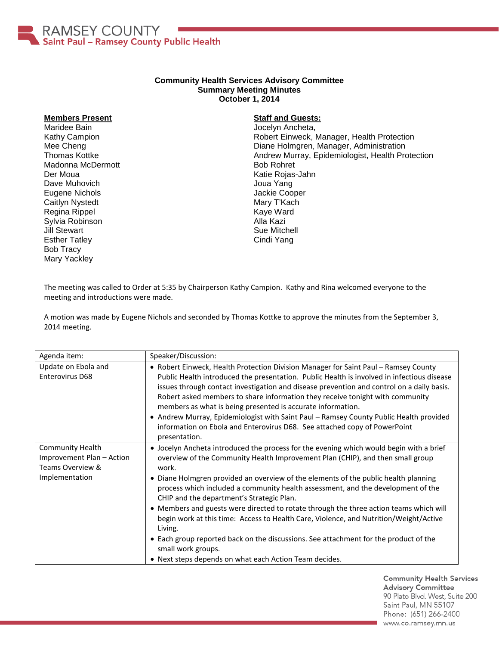

## **Community Health Services Advisory Committee Summary Meeting Minutes October 1, 2014**

## **Members Present**

Maridee Bain Kathy Campion Mee Cheng Thomas Kottke Madonna McDermott Der Moua Dave Muhovich Eugene Nichols Caitlyn Nystedt Regina Rippel Sylvia Robinson Jill Stewart Esther Tatley Bob Tracy Mary Yackley

## **Staff and Guests:**

Jocelyn Ancheta, Robert Einweck, Manager, Health Protection Diane Holmgren, Manager, Administration Andrew Murray, Epidemiologist, Health Protection Bob Rohret Katie Rojas-Jahn Joua Yang Jackie Cooper Mary T'Kach Kaye Ward Alla Kazi Sue Mitchell Cindi Yang

The meeting was called to Order at 5:35 by Chairperson Kathy Campion. Kathy and Rina welcomed everyone to the meeting and introductions were made.

A motion was made by Eugene Nichols and seconded by Thomas Kottke to approve the minutes from the September 3, 2014 meeting.

| Agenda item:                                                                               | Speaker/Discussion:                                                                                                                                                                                                                                                                                                                                                                                                                                                                                                                                                                                                                                                                                                                                                              |
|--------------------------------------------------------------------------------------------|----------------------------------------------------------------------------------------------------------------------------------------------------------------------------------------------------------------------------------------------------------------------------------------------------------------------------------------------------------------------------------------------------------------------------------------------------------------------------------------------------------------------------------------------------------------------------------------------------------------------------------------------------------------------------------------------------------------------------------------------------------------------------------|
| Update on Ebola and<br><b>Enterovirus D68</b>                                              | • Robert Einweck, Health Protection Division Manager for Saint Paul - Ramsey County<br>Public Health introduced the presentation. Public Health is involved in infectious disease<br>issues through contact investigation and disease prevention and control on a daily basis.<br>Robert asked members to share information they receive tonight with community<br>members as what is being presented is accurate information.<br>• Andrew Murray, Epidemiologist with Saint Paul – Ramsey County Public Health provided<br>information on Ebola and Enterovirus D68. See attached copy of PowerPoint<br>presentation.                                                                                                                                                           |
| <b>Community Health</b><br>Improvement Plan - Action<br>Teams Overview &<br>Implementation | • Jocelyn Ancheta introduced the process for the evening which would begin with a brief<br>overview of the Community Health Improvement Plan (CHIP), and then small group<br>work.<br>• Diane Holmgren provided an overview of the elements of the public health planning<br>process which included a community health assessment, and the development of the<br>CHIP and the department's Strategic Plan.<br>• Members and guests were directed to rotate through the three action teams which will<br>begin work at this time: Access to Health Care, Violence, and Nutrition/Weight/Active<br>Living.<br>• Each group reported back on the discussions. See attachment for the product of the<br>small work groups.<br>• Next steps depends on what each Action Team decides. |

**Community Health Services Advisory Committee** 90 Plato Blvd. West, Suite 200 Saint Paul, MN 55107 Phone: (651) 266-2400 www.co.ramsey.mn.us